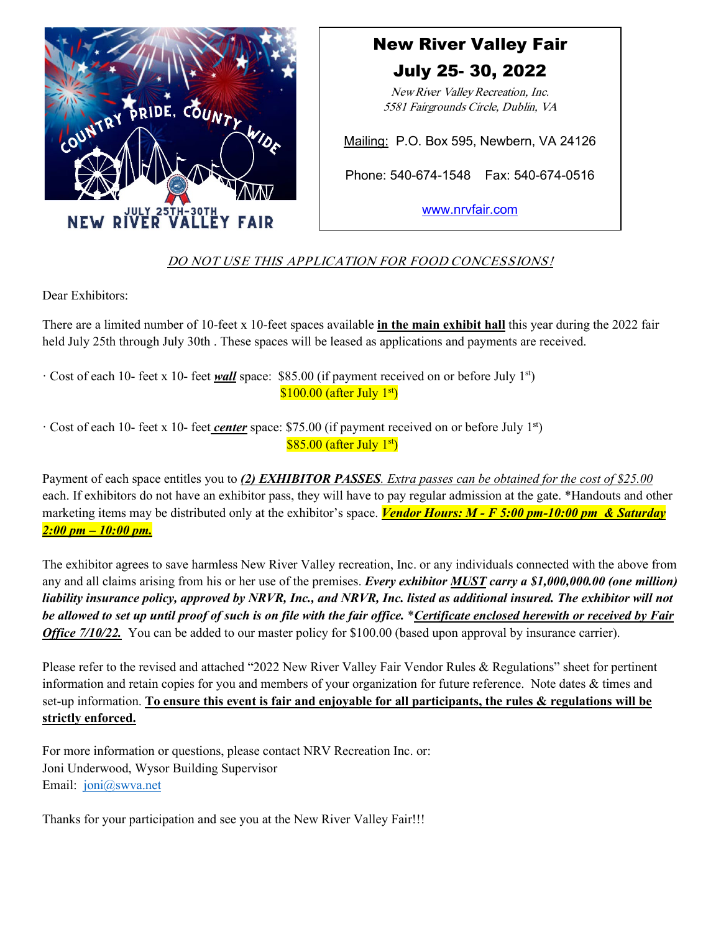

# New River Valley Fair

July 25- 30, 2022

New River Valley Recreation, Inc. 5581 Fairgrounds Circle, Dublin, VA

Mailing: P.O. Box 595, Newbern, VA 24126

Phone: 540-674-1548 Fax: 540-674-0516

[www.nrvfair.com](http://www.nrvfair.com/)

## DO NOT USE THIS APPLICATION FOR FOOD CONCESSIONS!

Dear Exhibitors:

There are a limited number of 10-feet x 10-feet spaces available **in the main exhibit hall** this year during the 2022 fair held July 25th through July 30th . These spaces will be leased as applications and payments are received.

· Cost of each 10- feet x 10- feet *wall* space: \$85.00 (if payment received on or before July 1st)  $$100.00$  (after July 1st)

· Cost of each 10- feet x 10- feet *center* space: \$75.00 (if payment received on or before July 1st)  $$85.00$  (after July  $1<sup>st</sup>$ )

Payment of each space entitles you to *(2) EXHIBITOR PASSES. Extra passes can be obtained for the cost of \$25.00* each. If exhibitors do not have an exhibitor pass, they will have to pay regular admission at the gate. \*Handouts and other marketing items may be distributed only at the exhibitor's space. *Vendor Hours: M - F 5:00 pm-10:00 pm & Saturday 2:00 pm – 10:00 pm.*

The exhibitor agrees to save harmless New River Valley recreation, Inc. or any individuals connected with the above from any and all claims arising from his or her use of the premises. *Every exhibitor MUST carry a \$1,000,000.00 (one million) liability insurance policy, approved by NRVR, Inc., and NRVR, Inc. listed as additional insured. The exhibitor will not be allowed to set up until proof of such is on file with the fair office.* \**Certificate enclosed herewith or received by Fair Office 7/10/22.* You can be added to our master policy for \$100.00 (based upon approval by insurance carrier).

Please refer to the revised and attached "2022 New River Valley Fair Vendor Rules & Regulations" sheet for pertinent information and retain copies for you and members of your organization for future reference. Note dates & times and set-up information. **To ensure this event is fair and enjoyable for all participants, the rules & regulations will be strictly enforced.** 

For more information or questions, please contact NRV Recreation Inc. or: Joni Underwood, Wysor Building Supervisor Email: [joni@swva.net](mailto:joni@swva.net)

Thanks for your participation and see you at the New River Valley Fair!!!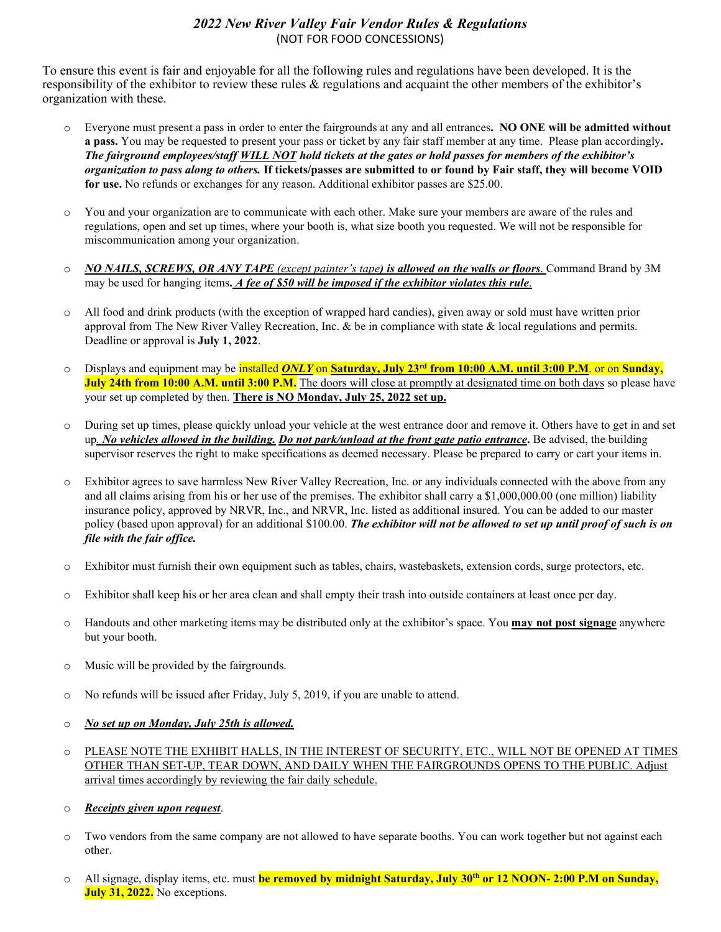#### *2022 New River Valley Fair Vendor Rules & Regulations*  (NOT FOR FOOD CONCESSIONS)

To ensure this event is fair and enjoyable for all the following rules and regulations have been developed. It is the responsibility of the exhibitor to review these rules & regulations and acquaint the other members of the exhibitor's organization with these.

- o Everyone must present a pass in order to enter the fairgrounds at any and all entrances**. NO ONE will be admitted without a pass.** You may be requested to present your pass or ticket by any fair staff member at any time. Please plan accordingly**.**  *The fairground employees/staff WILL NOT hold tickets at the gates or hold passes for members of the exhibitor's organization to pass along to others.* **If tickets/passes are submitted to or found by Fair staff, they will become VOID for use.** No refunds or exchanges for any reason. Additional exhibitor passes are \$25.00.
- o You and your organization are to communicate with each other. Make sure your members are aware of the rules and regulations, open and set up times, where your booth is, what size booth you requested. We will not be responsible for miscommunication among your organization.
- o *NO NAILS, SCREWS, OR ANY TAPE (except painter's tape) is allowed on the walls or floors*. Command Brand by 3M may be used for hanging items**.** *A fee of \$50 will be imposed if the exhibitor violates this rule*.
- o All food and drink products (with the exception of wrapped hard candies), given away or sold must have written prior approval from The New River Valley Recreation, Inc. & be in compliance with state & local regulations and permits. Deadline or approval is **July 1, 2022**.
- o Displays and equipment may be installed *ONLY* on **Saturday, July 23rd from 10:00 A.M. until 3:00 P.M**. or on **Sunday, July 24th from 10:00 A.M. until 3:00 P.M.** The doors will close at promptly at designated time on both days so please have your set up completed by then. **There is NO Monday, July 25, 2022 set up.**
- o During set up times, please quickly unload your vehicle at the west entrance door and remove it. Others have to get in and set up*. No vehicles allowed in the building. Do not park/unload at the front gate patio entrance***.** Be advised, the building supervisor reserves the right to make specifications as deemed necessary. Please be prepared to carry or cart your items in.
- o Exhibitor agrees to save harmless New River Valley Recreation, Inc. or any individuals connected with the above from any and all claims arising from his or her use of the premises. The exhibitor shall carry a \$1,000,000.00 (one million) liability insurance policy, approved by NRVR, Inc., and NRVR, Inc. listed as additional insured. You can be added to our master policy (based upon approval) for an additional \$100.00. *The exhibitor will not be allowed to set up until proof of such is on file with the fair office.*
- o Exhibitor must furnish their own equipment such as tables, chairs, wastebaskets, extension cords, surge protectors, etc.
- o Exhibitor shall keep his or her area clean and shall empty their trash into outside containers at least once per day.
- o Handouts and other marketing items may be distributed only at the exhibitor's space. You **may not post signage** anywhere but your booth.
- o Music will be provided by the fairgrounds.
- o No refunds will be issued after Friday, July 5, 2019, if you are unable to attend.
- o *No set up on Monday, July 25th is allowed.*
- o PLEASE NOTE THE EXHIBIT HALLS, IN THE INTEREST OF SECURITY, ETC., WILL NOT BE OPENED AT TIMES OTHER THAN SET-UP, TEAR DOWN, AND DAILY WHEN THE FAIRGROUNDS OPENS TO THE PUBLIC. Adjust arrival times accordingly by reviewing the fair daily schedule.
- o *Receipts given upon request*.
- o Two vendors from the same company are not allowed to have separate booths. You can work together but not against each other.
- o All signage, display items, etc. must **be removed by midnight Saturday, July 30th or 12 NOON- 2:00 P.M on Sunday, July 31, 2022.** No exceptions.